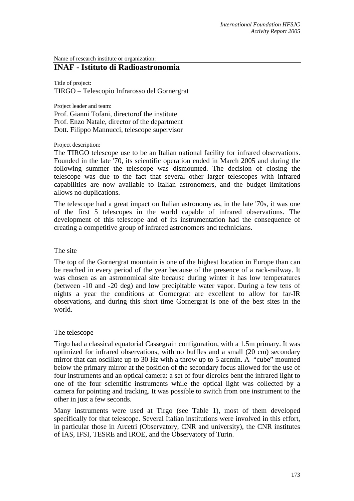Name of research institute or organization:

# **INAF - Istituto di Radioastronomia**

Title of project:

TIRGO – Telescopio Infrarosso del Gornergrat

Project leader and team:

Prof. Gianni Tofani, directorof the institute Prof. Enzo Natale, director of the department Dott. Filippo Mannucci, telescope supervisor

#### Project description:

The TIRGO telescope use to be an Italian national facility for infrared observations. Founded in the late '70, its scientific operation ended in March 2005 and during the following summer the telescope was dismounted. The decision of closing the telescope was due to the fact that several other larger telescopes with infrared capabilities are now available to Italian astronomers, and the budget limitations allows no duplications.

The telescope had a great impact on Italian astronomy as, in the late '70s, it was one of the first 5 telescopes in the world capable of infrared observations. The development of this telescope and of its instrumentation had the consequence of creating a competitive group of infrared astronomers and technicians.

## The site

The top of the Gornergrat mountain is one of the highest location in Europe than can be reached in every period of the year because of the presence of a rack-railway. It was chosen as an astronomical site because during winter it has low temperatures (between -10 and -20 deg) and low precipitable water vapor. During a few tens of nights a year the conditions at Gornergrat are excellent to allow for far-IR observations, and during this short time Gornergrat is one of the best sites in the world.

## The telescope

Tirgo had a classical equatorial Cassegrain configuration, with a 1.5m primary. It was optimized for infrared observations, with no buffles and a small (20 cm) secondary mirror that can oscillate up to 30 Hz with a throw up to 5 arcmin. A "cube" mounted below the primary mirror at the position of the secondary focus allowed for the use of four instruments and an optical camera: a set of four dicroics bent the infrared light to one of the four scientific instruments while the optical light was collected by a camera for pointing and tracking. It was possible to switch from one instrument to the other in just a few seconds.

Many instruments were used at Tirgo (see Table 1), most of them developed specifically for that telescope. Several Italian institutions were involved in this effort, in particular those in Arcetri (Observatory, CNR and university), the CNR institutes of IAS, IFSI, TESRE and IROE, and the Observatory of Turin.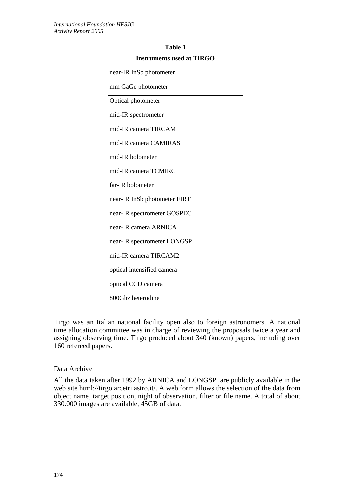| Table 1                          |
|----------------------------------|
| <b>Instruments used at TIRGO</b> |
| near-IR InSb photometer          |
| mm GaGe photometer               |
| Optical photometer               |
| mid-IR spectrometer              |
| mid-IR camera TIRCAM             |
| mid-IR camera CAMIRAS            |
| mid-IR bolometer                 |
| mid-IR camera TCMIRC             |
| far-IR bolometer                 |
| near-IR InSb photometer FIRT     |
| near-IR spectrometer GOSPEC      |
| near-IR camera ARNICA            |
| near-IR spectrometer LONGSP      |
| mid-IR camera TIRCAM2            |
| optical intensified camera       |
| optical CCD camera               |
| 800Ghz heterodine                |

Tirgo was an Italian national facility open also to foreign astronomers. A national time allocation committee was in charge of reviewing the proposals twice a year and assigning observing time. Tirgo produced about 340 (known) papers, including over 160 refereed papers.

# Data Archive

All the data taken after 1992 by ARNICA and LONGSP are publicly available in the web site html://tirgo.arcetri.astro.it/. A web form allows the selection of the data from object name, target position, night of observation, filter or file name. A total of about 330.000 images are available, 45GB of data.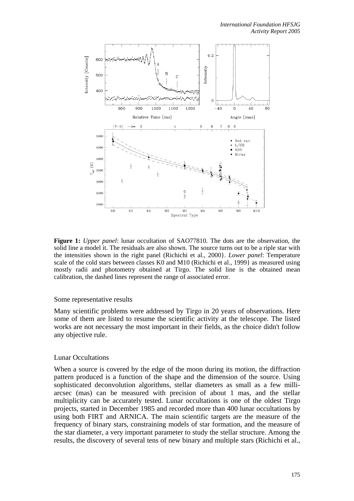

**Figure 1:** *Upper panel*: lunar occultation of SAO77810. The dots are the observation, the solid line a model it. The residuals are also shown. The source turns out to be a riple star with the intensities shown in the right panel (Richichi et al., 2000}. *Lower panel*: Temperature scale of the cold stars between classes K0 and M10 (Richichi et al., 1999} as measured using mostly radii and photometry obtained at Tirgo. The solid line is the obtained mean calibration, the dashed lines represent the range of associated error.

## Some representative results

Many scientific problems were addressed by Tirgo in 20 years of observations. Here some of them are listed to resume the scientific activity at the telescope. The listed works are not necessary the most important in their fields, as the choice didn't follow any objective rule.

## Lunar Occultations

When a source is covered by the edge of the moon during its motion, the diffraction pattern produced is a function of the shape and the dimension of the source. Using sophisticated deconvolution algorithms, stellar diameters as small as a few milliarcsec (mas) can be measured with precision of about 1 mas, and the stellar multiplicity can be accurately tested. Lunar occultations is one of the oldest Tirgo projects, started in December 1985 and recorded more than 400 lunar occultations by using both FIRT and ARNICA. The main scientific targets are the measure of the frequency of binary stars, constraining models of star formation, and the measure of the star diameter, a very important parameter to study the stellar structure. Among the results, the discovery of several tens of new binary and multiple stars (Richichi et al.,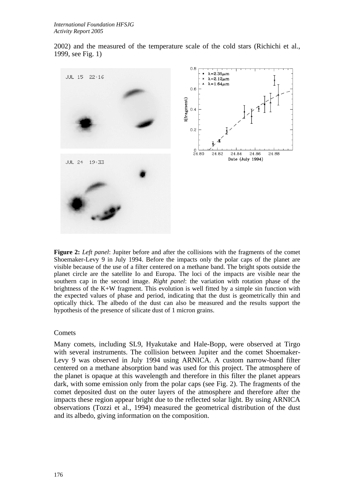2002) and the measured of the temperature scale of the cold stars (Richichi et al., 1999, see Fig. 1)



**Figure 2:** *Left panel*: Jupiter before and after the collisions with the fragments of the comet Shoemaker-Levy 9 in July 1994. Before the impacts only the polar caps of the planet are visible because of the use of a filter centered on a methane band. The bright spots outside the planet circle are the satellite Io and Europa. The loci of the impacts are visible near the southern cap in the second image. *Right panel*: the variation with rotation phase of the brightness of the K+W fragment. This evolution is well fitted by a simple sin function with the expected values of phase and period, indicating that the dust is geometrically thin and optically thick. The albedo of the dust can also be measured and the results support the hypothesis of the presence of silicate dust of 1 micron grains.

## **Comets**

Many comets, including SL9, Hyakutake and Hale-Bopp, were observed at Tirgo with several instruments. The collision between Jupiter and the comet Shoemaker-Levy 9 was observed in July 1994 using ARNICA. A custom narrow-band filter centered on a methane absorption band was used for this project. The atmosphere of the planet is opaque at this wavelength and therefore in this filter the planet appears dark, with some emission only from the polar caps (see Fig. 2). The fragments of the comet deposited dust on the outer layers of the atmosphere and therefore after the impacts these region appear bright due to the reflected solar light. By using ARNICA observations (Tozzi et al., 1994) measured the geometrical distribution of the dust and its albedo, giving information on the composition.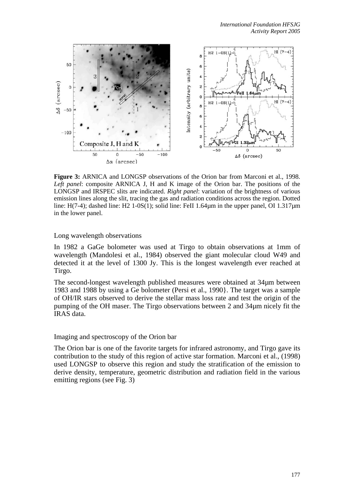

**Figure 3:** ARNICA and LONGSP observations of the Orion bar from Marconi et al., 1998. *Left panel*: composite ARNICA J, H and K image of the Orion bar. The positions of the LONGSP and IRSPEC slits are indicated. *Right panel*: variation of the brightness of various emission lines along the slit, tracing the gas and radiation conditions across the region. Dotted line: H(7-4); dashed line: H2 1-0S(1); solid line: FeII 1.64 $\mu$ m in the upper panel, OI 1.317 $\mu$ m in the lower panel.

Long wavelength observations

In 1982 a GaGe bolometer was used at Tirgo to obtain observations at 1mm of wavelength (Mandolesi et al., 1984) observed the giant molecular cloud W49 and detected it at the level of 1300 Jy. This is the longest wavelength ever reached at Tirgo.

The second-longest wavelength published measures were obtained at 34µm between 1983 and 1988 by using a Ge bolometer (Persi et al., 1990}. The target was a sample of OH/IR stars observed to derive the stellar mass loss rate and test the origin of the pumping of the OH maser. The Tirgo observations between 2 and 34µm nicely fit the IRAS data.

## Imaging and spectroscopy of the Orion bar

The Orion bar is one of the favorite targets for infrared astronomy, and Tirgo gave its contribution to the study of this region of active star formation. Marconi et al., (1998) used LONGSP to observe this region and study the stratification of the emission to derive density, temperature, geometric distribution and radiation field in the various emitting regions (see Fig. 3)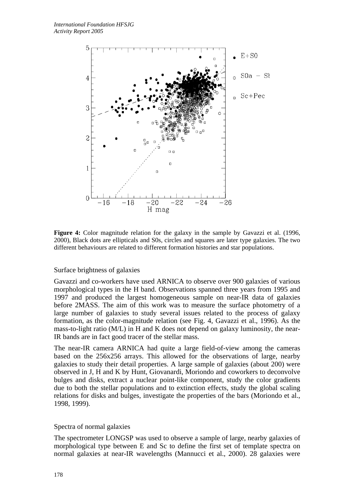

**Figure 4:** Color magnitude relation for the galaxy in the sample by Gavazzi et al. (1996, 2000), Black dots are ellipticals and S0s, circles and squares are later type galaxies. The two different behaviours are related to different formation histories and star populations.

# Surface brightness of galaxies

Gavazzi and co-workers have used ARNICA to observe over 900 galaxies of various morphological types in the H band. Observations spanned three years from 1995 and 1997 and produced the largest homogeneous sample on near-IR data of galaxies before 2MASS. The aim of this work was to measure the surface photometry of a large number of galaxies to study several issues related to the process of galaxy formation, as the color-magnitude relation (see Fig. 4, Gavazzi et al., 1996). As the mass-to-light ratio (M/L) in H and K does not depend on galaxy luminosity, the near-IR bands are in fact good tracer of the stellar mass.

The near-IR camera ARNICA had quite a large field-of-view among the cameras based on the 256x256 arrays. This allowed for the observations of large, nearby galaxies to study their detail properties. A large sample of galaxies (about 200) were observed in J, H and K by Hunt, Giovanardi, Moriondo and coworkers to deconvolve bulges and disks, extract a nuclear point-like component, study the color gradients due to both the stellar populations and to extinction effects, study the global scaling relations for disks and bulges, investigate the properties of the bars (Moriondo et al., 1998, 1999).

## Spectra of normal galaxies

The spectrometer LONGSP was used to observe a sample of large, nearby galaxies of morphological type between E and Sc to define the first set of template spectra on normal galaxies at near-IR wavelengths (Mannucci et al., 2000). 28 galaxies were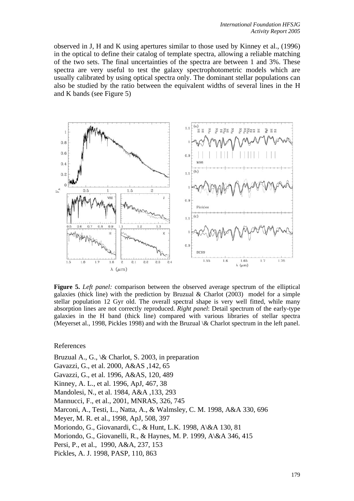observed in J, H and K using apertures similar to those used by Kinney et al., (1996) in the optical to define their catalog of template spectra, allowing a reliable matching of the two sets. The final uncertainties of the spectra are between 1 and 3%. These spectra are very useful to test the galaxy spectrophotometric models which are usually calibrated by using optical spectra only. The dominant stellar populations can also be studied by the ratio between the equivalent widths of several lines in the H and K bands (see Figure 5)



**Figure 5.** *Left panel:* comparison between the observed average spectrum of the elliptical galaxies (thick line) with the prediction by Bruzual & Charlot (2003) model for a simple stellar population 12 Gyr old. The overall spectral shape is very well fitted, while many absorption lines are not correctly reproduced. *Right panel*: Detail spectrum of the early-type galaxies in the H band (thick line) compared with various libraries of stellar spectra (Meyerset al., 1998, Pickles 1998) and with the Bruzual \& Charlot spectrum in the left panel.

References

Bruzual A., G., \& Charlot, S. 2003, in preparation Gavazzi, G., et al. 2000, A&AS ,142, 65

Gavazzi, G., et al. 1996, A&AS, 120, 489

Kinney, A. L., et al. 1996, ApJ, 467, 38

Mandolesi, N., et al. 1984, A&A ,133, 293

Mannucci, F., et al., 2001, MNRAS, 326, 745

Marconi, A., Testi, L., Natta, A., & Walmsley, C. M. 1998, A&A 330, 696

Meyer, M. R. et al., 1998, ApJ, 508, 397

Moriondo, G., Giovanardi, C., & Hunt, L.K. 1998, A\&A 130, 81

Moriondo, G., Giovanelli, R., & Haynes, M. P. 1999, A\&A 346, 415

Persi, P., et al., 1990, A&A, 237, 153

Pickles, A. J. 1998, PASP, 110, 863